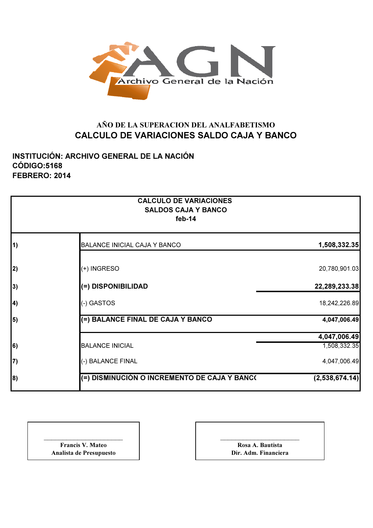

## AÑO DE LA SUPERACION DEL ANALFABETISMO CALCULO DE VARIACIONES SALDO CAJA Y BANCO

INSTITUCIÓN: ARCHIVO GENERAL DE LA NACIÓN CÓDIGO:5168 FEBRERO: 2014

|            | <b>CALCULO DE VARIACIONES</b><br><b>SALDOS CAJA Y BANCO</b><br>feb-14 |                |
|------------|-----------------------------------------------------------------------|----------------|
| $\vert$ 1) | <b>BALANCE INICIAL CAJA Y BANCO</b>                                   | 1,508,332.35   |
| 2)         | (+) INGRESO                                                           | 20,780,901.03  |
| 3)         | (=) DISPONIBILIDAD                                                    | 22,289,233.38  |
| $\vert 4$  | (-) GASTOS                                                            | 18,242,226.89  |
| 5)         | (=) BALANCE FINAL DE CAJA Y BANCO                                     | 4,047,006.49   |
|            |                                                                       | 4,047,006.49   |
| 6)         | <b>BALANCE INICIAL</b>                                                | 1,508,332.35   |
| 7)         | (-) BALANCE FINAL                                                     | 4,047,006.49   |
| 8)         | (=) DISMINUCIÓN O INCREMENTO DE CAJA Y BANC(                          | (2,538,674.14) |

| <b>Francis V. Mateo</b> |
|-------------------------|
| Analista de Presupuesto |

\_\_\_\_\_\_\_\_\_\_\_\_\_\_\_\_\_\_\_\_\_ Rosa A. Bautista Dir. Adm. Financiera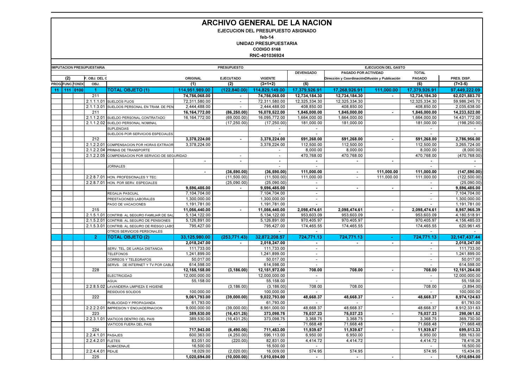## ARCHIVO GENERAL DE LA NACION

EJECUCION DEL PRESUPUESTO ASIGNADO

feb-14

 UNIDAD PRESUPUESTARIACODIGO 5168

RNC-401036924

|                 | <b>IMPUTACION PRESUPUESTARIA</b> |                   |                    |                                               | <b>PRESUPUESTO</b>       |                          |                          | <b>EJECUCION DEL GASTO</b> |                                                |                |                          |               |
|-----------------|----------------------------------|-------------------|--------------------|-----------------------------------------------|--------------------------|--------------------------|--------------------------|----------------------------|------------------------------------------------|----------------|--------------------------|---------------|
|                 |                                  |                   |                    |                                               |                          |                          |                          | <b>DEVENGADO</b>           | PAGADO POR ACTIVIDAD                           |                | <b>TOTAL</b>             |               |
|                 | (2)                              |                   | OBJ. DEL C         |                                               | ORIGINAL                 | <b>EJECUTADO</b>         | <b>VIGENTE</b>           |                            | Dirección y CoordinaciónDifusión y Publicación |                | PAGADO                   | PRES. DISP.   |
|                 |                                  | PROG. FUNC. FONDO | OBJ.               |                                               | (1)                      | (2)                      | $(3=1+2)$                | (5)                        |                                                |                | (6)                      | $(7=3-5)$     |
| 11 <sub>1</sub> |                                  | 111   0100        | -1                 | <b>TOTAL OBJETO (1)</b>                       | 114,951,989.00           | (122, 840.00)            | 114,829,149.00           | 17,379,926.91              | 17,268,926.91                                  | 111,000.00     | 17,379,926.91            | 97.449.222.09 |
|                 |                                  |                   | 211                |                                               | 74,756,068.00            | $\overline{a}$           | 74,756,068.00            | 12,734,184.30              | 12,734,184.30                                  | $\sim$         | 12,734,184.30            | 62,021,883.70 |
|                 |                                  |                   |                    | 2.1.1.1.01 SUELDOS FIJOS                      | 72,311,580.00            | $\overline{\phantom{a}}$ | 72,311,580.00            | 12,325,334.30              | 12,325,334.30                                  |                | 12,325,334.30            | 59,986,245.70 |
|                 |                                  |                   |                    | 2.1.1.3.01 SUELDOS PERSONAL EN TRAM. DE PEN   | 2,444,488.00             | $\sim$                   | 2,444,488.00             | 408,850.00                 | 408,850.00                                     |                | 408,850.00               | 2,035,638.00  |
|                 |                                  |                   | 211                |                                               | 16, 164, 772.00          | (86, 250.00)             | 16,078,522.00            | 1,845,000.00               | 1,845,000.00                                   |                | 1,845,000.00             | 14,233,522.00 |
|                 |                                  |                   |                    | 2.1.1.2.01 SUELDO PERSONAL CONTRATADO         | 16, 164, 772.00          | (69,000.00)              | 16,095,772.00            | 1,664,000.00               | 1,664,000.00                                   |                | 1,664,000.00             | 14,431,772.00 |
|                 |                                  |                   |                    | 2.1.1.2.02 SUELDO PERSONAL NOMINAL            |                          | (17, 250.00)             | (17.250.00)              | 181.000.00                 | 181,000.00                                     |                | 181.000.00               | (198, 250.00) |
|                 |                                  |                   |                    | <b>SUPLENCIAS</b>                             |                          |                          | $\sim$                   | $\sim$                     |                                                |                | $\sim$                   | $\sim$        |
|                 |                                  |                   |                    | SUELDOS POR SERVICIOS ESPECIALES              |                          |                          |                          | $\overline{\phantom{a}}$   |                                                |                |                          |               |
|                 |                                  |                   | 212                |                                               | 3,378,224.00             | $\sim$                   | 3,378,224.00             | 591,268.00                 | 591,268.00                                     | $\sim$         | 591,268.00               | 2,786,956.00  |
|                 |                                  |                   |                    | 2.1.2.2.01 COMPENSACION POR HORAS EXTRAOR     | 3.378.224.00             |                          | 3.378.224.00             | 112.500.00                 | 112.500.00                                     |                | 112,500.00               | 3,265,724.00  |
|                 |                                  |                   |                    | 2.1.2.2.04 PRIMAS DE TRANSPORTE               |                          |                          | $\sim$                   | 8.000.00                   | 8.000.00                                       |                | 8,000.00                 | (8.000.00)    |
|                 |                                  |                   | 2.1.2.2.05         | COMPENSACION POR SERVICIO DE SEGURIDAD        |                          |                          |                          | 470,768.00                 | 470,768.00                                     |                | 470,768.00               | (470,768.00   |
|                 |                                  |                   |                    |                                               | $\sim$                   | $\sim$                   | $\sim$                   | $\sim$                     | $\blacksquare$                                 | $\sim$         |                          |               |
|                 |                                  |                   |                    | <b>JORNALES</b>                               |                          |                          | $\overline{\phantom{a}}$ | $\sim$                     |                                                |                | $\sim$                   | $\sim$        |
|                 |                                  |                   |                    |                                               | $\overline{\phantom{a}}$ | (36, 590.00)             | (36,590.00)              | 111.000.00                 | $\sim$                                         | 111.000.00     | 111.000.00               | (147, 590.00) |
|                 |                                  |                   |                    | 2.2.8.7.01 HON, PROFESIONALES Y TEC.          |                          | (11.500.00)              | (11.500.00)              | 111.000.00                 | $\blacksquare$                                 | 111.000.00     | 111.000.00               | (122.500.00)  |
|                 |                                  |                   |                    | 2.2.8.7.01 HON, POR SERV, ESPECIALES          |                          | (25.090.00)              | (25,090.00)              | $\sim$                     |                                                |                | $\sim$                   | (25,090.00)   |
|                 |                                  |                   |                    |                                               | 9,596,485.00             | $\blacksquare$           | 9,596,485.00             | $\sim$                     | $\sim$                                         | $\sim$         | $\blacksquare$           | 9,596,485.00  |
|                 |                                  |                   |                    | REGALIA PASCUAL                               | 7,104,704.00             |                          | 7,104,704.00             | $\sim$                     |                                                |                | $\sim$                   | 7,104,704.00  |
|                 |                                  |                   |                    | PRESTACIONES LABORALES                        | 1,300,000.00             |                          | 1,300,000.00             | $\overline{\phantom{a}}$   |                                                |                | $\overline{\phantom{a}}$ | 1,300,000.00  |
|                 |                                  |                   |                    | PAGO DE VACACIONES                            | 1,191,781.00             |                          | 1,191,781.00             | $\sim$                     |                                                |                | $\overline{a}$           | 1,191,781.00  |
|                 |                                  |                   | 215                |                                               | 11,056,440.00            | $\sim$                   | 11,056,440.00            | 2,098,474.61               | 2,098,474.61                                   | $\sim$         | 2,098,474.61             | 8,957,965.39  |
|                 |                                  |                   |                    | 2.1.5.1.01 CONTRIB. AL SEGURO FAMILIAR DE SAI | 5,134,122.00             |                          | 5,134,122.00             | 953,603.09                 | 953,603.09                                     |                | 953,603.09               | 4,180,518.91  |
|                 |                                  |                   |                    | 2.1.5.2.01 CONTRIB. AL SEGURO DE PENSIONES    | 5,126,891.00             |                          | 5,126,891.00             | 970.405.97                 | 970,405.97                                     |                | 970.405.97               | 4,156,485.03  |
|                 |                                  |                   |                    | 2.1.5.3.01 CONTRIB. AL SEGURO DE RIESGO LABO  | 795,427.00               |                          | 795,427.00               | 174,465.55                 | 174,465.55                                     |                | 174,465.55               | 620,961.45    |
|                 |                                  |                   |                    | OTROS SERVICIOS PERSONALES                    |                          |                          | $\blacksquare$           | $\sim$                     |                                                |                | $\sim$                   |               |
|                 |                                  |                   | 2 <sup>7</sup>     | <b>TOTAL OBJETO (2)</b>                       | 33,125,980.00            | (253.771.43)             | 32.872.208.57            | 724.771.13                 | 724.771.13                                     |                | 724.771.13               | 32.147.437.44 |
|                 |                                  |                   |                    |                                               | 2,018,247.00             | $\blacksquare$           | 2,018,247.00             | $\blacksquare$             | $\blacksquare$                                 | $\blacksquare$ | $\blacksquare$           | 2,018,247.00  |
|                 |                                  |                   |                    | SERV. TEL. DE LARGA DISTANCIA                 | 111,733.00               |                          | 111.733.00               | $\sim$                     |                                                |                | $\sim$                   | 111.733.00    |
|                 |                                  |                   |                    | <b>TELEFONOS</b>                              | 1.241.899.00             |                          | 1.241.899.00             | $\sim$                     |                                                |                | $\blacksquare$           | 1,241,899.00  |
|                 |                                  |                   |                    | CORREOS Y TELEGRAFOS                          | 50,017.00                |                          | 50,017.00                | $\sim$                     |                                                |                | $\sim$                   | 50,017.00     |
|                 |                                  |                   |                    | SERVS. DE INTERNET Y TV POR CABLE             | 614,598.00               |                          | 614.598.00               | $\sim$                     |                                                |                | $\blacksquare$           | 614.598.00    |
|                 |                                  |                   | 228                |                                               | 12,155,158.00            | (3.186.00)               | 12,151,972.00            | 708.00                     | 708.00                                         | $\sim$         | 708.00                   | 12.151.264.00 |
|                 |                                  |                   |                    | <b>ELECTRICIDAD</b>                           | 12.000.000.00            |                          | 12.000.000.00            | $\overline{\phantom{a}}$   |                                                |                |                          | 12.000.000.00 |
|                 |                                  |                   |                    | <b>AGUA</b>                                   | 55.158.00                |                          | 55.158.00                | $\sim$                     |                                                |                | $\sim$                   | 55.158.00     |
|                 |                                  |                   |                    | 2.2.8.5.02 LAVANDERIA LIMPIEZA E HIGIENE      |                          | (3, 186.00)              | (3, 186.00)              | 708.00                     | 708.00                                         |                | 708.00                   | (3,894.00)    |
|                 |                                  |                   |                    | RESIDUOS SOLIDOS                              | 100,000.00               |                          | 100,000.00               | $\overline{a}$             |                                                |                | $\overline{a}$           | 100,000.00    |
|                 |                                  |                   | 222                |                                               | 9,061,793.00             | (39,000.00)              | 9,022,793.00             | 48,668.37                  | 48,668.37                                      |                | 48,668.37                | 8,974,124.63  |
|                 |                                  |                   |                    | PUBLICIDAD Y PROPAGANDA                       | 61,793.00                |                          | 61,793.00                | $\sim$                     | $\sim$                                         |                | $\sim$                   | 61,793.00     |
|                 |                                  |                   |                    | 2.2.2.2.01 IMPRESION Y ENCUADERNACION         | 9,000,000.00             | (39,000.00)              | 8,961,000.00             | 48,668.37                  | 48,668.37                                      |                | 48,668.37                | 8,912,331.63  |
|                 |                                  |                   | 223                |                                               | 389,530.00               | (16, 431.25)             | 373,098.75               | 75,037.23                  | 75,037.23                                      |                | 75,037.23                | 298,061.52    |
|                 |                                  |                   |                    | 2.2.3.1.01 VIATICOS DENTRO DEL PAIS           | 389,530.00               | (16, 431.25)             | 373,098.75               | 3,368.75                   | 3,368.75                                       |                | 3,368.75                 | 369,730.00    |
|                 |                                  |                   |                    | VIATICOS FUERA DEL PAIS                       |                          |                          | $\sim$                   | 71,668.48                  | 71,668.48                                      |                | 71,668.48                | (71,668.48)   |
|                 |                                  |                   | 224                |                                               | 717,943.00               | (6,490.00)               | 711,453.00               | 11,939.67                  | 11,939.67                                      | $\sim$         | 11,939.67                | 699,513.33    |
|                 |                                  |                   | 2.2.4.1.01 PASAJES |                                               | 600,363.00               | (4, 250.00)              | 596,113.00               | 6,950.00                   | 6.950.00                                       |                | 6,950.00                 | 589,163.00    |
|                 |                                  |                   | 2.2.4.2.01 FLETES  |                                               | 83,051.00                | (220.00)                 | 82,831.00                | 4,414.72                   | 4,414.72                                       |                | 4,414.72                 | 78.416.28     |
|                 |                                  |                   |                    | ALMACENAJE                                    | 16,500.00                |                          | 16,500.00                | $\sim$                     |                                                |                |                          | 16,500.00     |
|                 |                                  |                   | 2.2.4.4.01 PEAJE   |                                               | 18,029.00                | (2,020.00)               | 16,009.00                | 574.95                     | 574.95                                         |                | 574.95                   | 15,434.05     |
|                 |                                  |                   | 225                |                                               | 1,020,694.00             | (10,000.00)              | 1,010,694.00             | $\sim$                     | $\blacksquare$                                 |                | $\sim$                   | 1,010,694.00  |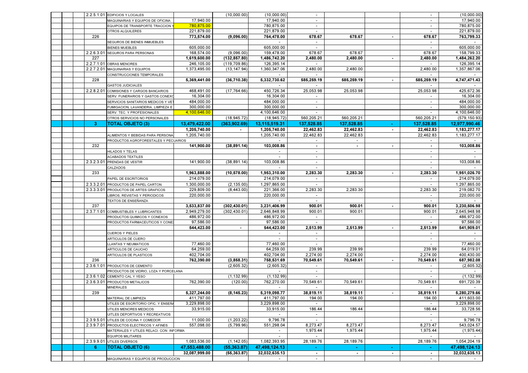|  |              | 2.2.5.1.01 EDIFICIOS Y LOCALES                                           |                         | (10.000.00)              | (10,000.00)               |                          |            |                |                          | (10,000.00)        |
|--|--------------|--------------------------------------------------------------------------|-------------------------|--------------------------|---------------------------|--------------------------|------------|----------------|--------------------------|--------------------|
|  |              | MAQUINARIAS Y EQUIPOS DE OFICINA                                         | 17,940.00               |                          | 17,940.00                 | $\sim$                   |            |                | $\blacksquare$           | 17,940.00          |
|  |              | EQUIPOS DE TRANSPORTE TRACCION '                                         | 780,875.00              |                          | 780,875.00                | $\sim$                   |            |                | $\overline{\phantom{a}}$ | 780,875.00         |
|  |              | <b>OTROS ALQUILERES</b>                                                  | 221,879.00              |                          | 221,879.00                | $\sim$                   |            |                | $\overline{\phantom{a}}$ | 221,879.00         |
|  | 226          |                                                                          | 773,574.00              | (9,096.00)               | 764,478.00                | 678.67                   | 678.67     | $\sim$         | 678.67                   | 763,799.33         |
|  |              | SEGUROS DE BIENES INMUEBLES                                              |                         |                          | $\sim$                    | $\sim$                   |            |                | $\sim$                   |                    |
|  |              | <b>BIENES MUEBLES</b>                                                    | 605,000.00              |                          | 605,000.00                | $\sim$                   |            |                | $\sim$                   | 605,000.00         |
|  |              | 2.2.6.3.01 SEGUROS PARA PERSONAS                                         | 168,574.00              | (9,096.00)               | 159,478.00                | 678.67                   | 678.67     |                | 678.67                   | 158,799.33         |
|  | 227          |                                                                          | 1,619,600.00            | (132, 857.80)            | 1,486,742.20              | 2,480.00                 | 2,480.00   | $\blacksquare$ | 2,480.00                 | 1,484,262.20       |
|  |              | 2.2.7.1.01 OBRAS MENORES                                                 | 246,105.00              | (119, 709.86)            | 126,395.14                |                          |            |                |                          | 126,395.14         |
|  |              | 2.2.7.2.01 MAQUINARIAS Y EQUIPOS                                         | 1,373,495.00            | (13, 147.94)             | 1,360,347.06              | 2,480.00                 | 2,480.00   |                | 2,480.00                 | 1,357,867.06       |
|  |              | CONSTRUCCIONES TEMPORALES                                                |                         |                          |                           |                          |            |                |                          |                    |
|  | 228          |                                                                          | 5,369,441.00            | (36, 710.38)             | 5,332,730.62              | 585,259.19               | 585,259.19 |                | 585,259.19               | 4,747,471.43       |
|  |              | <b>GASTOS JUDICIALES</b>                                                 |                         |                          |                           |                          |            |                |                          |                    |
|  |              | 2.2.8.2.01 COMISIONES Y CARGOS BANCARIOS                                 | 468,491.00              | (17, 764.66)             | 450,726.34                | 25.053.98                | 25,053.98  |                | 25.053.98                | 425,672.36         |
|  |              | SERV. FUNERARIOS Y GASTOS CONEX                                          | 16,304.00               |                          | 16,304.00                 | $\sim$                   |            |                | $\overline{\phantom{a}}$ | 16,304.00          |
|  |              | SERVICIOS SANITARIOS MEDICOS Y VE                                        | 484,000.00              |                          | 484,000.00                |                          |            |                |                          | 484,000.00         |
|  |              | FUMIGACION, LAVANDERIA, LIMPIEZA E                                       | 300,000.00              |                          | 300,000.00                | $\overline{\phantom{a}}$ |            |                |                          | 300,000.00         |
|  |              | SERV. TEC. Y PROFESIONALES                                               | 4,100,646.00            |                          | 4,100,646.00              |                          |            |                |                          | 4,100,646.00       |
|  |              | OTROS SERVICIOS NO PERSONALES                                            |                         | (18, 945.72)             | (18, 945.72)              | 560,205.21               | 560,205.21 |                | 560,205.21               | (579, 150.93)      |
|  | $\mathbf{3}$ | <b>TOTAL OBJETO (3)</b>                                                  | 13,479,422.00           | (363,902.69)             | 13,115,519.31             | 137,528.85               | 137,528.85 |                | 137,528.85               | 12,977,990.46      |
|  |              |                                                                          | 1,205,740.00            |                          | 1,205,740.00              | 22,462.83                | 22,462.83  | ٠              | 22,462.83                | 1,183,277.17       |
|  |              | ALIMENTOS Y BEBIDAS PARA PERSONA                                         | 1.205.740.00            |                          | 1,205,740.00              | 22,462.83                | 22,462.83  |                | 22,462.83                | 1,183,277.17       |
|  |              | PRODUCTOS AGROFORESTALES Y PECUARIOS                                     |                         |                          |                           |                          |            |                |                          |                    |
|  | 232          |                                                                          | 141,900.00              | (38, 891.14)             | 103,008.86                | $\sim$                   | $\sim$     | $\blacksquare$ | $\sim$                   | 103,008.86         |
|  |              | <b>HILADOS Y TELAS</b>                                                   |                         |                          | $\overline{\phantom{a}}$  | $\overline{\phantom{a}}$ |            |                | $\overline{\phantom{a}}$ |                    |
|  |              | <b>ACABADOS TEXTILES</b>                                                 |                         |                          | $\overline{\phantom{a}}$  | $\sim$                   |            |                | $\sim$                   | $\sim$             |
|  |              | 2.3.2.3.01 PRENDAS DE VESTIR                                             | 141,900.00              | (38, 891.14)             | 103,008.86                | $\overline{\phantom{a}}$ |            |                | $\overline{\phantom{a}}$ | 103,008.86         |
|  |              | CALZADOS                                                                 |                         |                          |                           |                          |            |                |                          |                    |
|  | 233          |                                                                          | 1,963,888.00            | (10, 578.00)             | 1.953.310.00              | 2,283.30                 | 2,283.30   |                | 2,283.30                 | 1,951,026.70       |
|  |              | PAPEL DE ESCRITORIOS                                                     | 214.079.00              |                          | 214,079.00                |                          |            |                |                          | 214.079.00         |
|  |              | 2.3.3.2.01 PRODUCTOS DE PAPEL CARTON                                     | 1,300,000.00            | (2, 135.00)              | 1,297,865.00              |                          |            |                |                          | 1,297,865.00       |
|  |              | 2.3.3.3.01 PRODUCTOS DE ARTES GRAFICOS                                   | 229,809.00              | (8,443.00)               | 221.366.00                | 2,283.30                 | 2,283.30   |                | 2,283.30                 | 219.082.70         |
|  |              | LIBROS, REVISTAS Y PERIODICOS                                            | 220,000.00              |                          | 220,000.00                | $\sim$                   |            |                |                          | 220,000.00         |
|  |              | TEXTOS DE ENSEÑANZA                                                      |                         |                          | $\sim$                    | $\sim$                   |            |                | $\sim$                   |                    |
|  | 237          |                                                                          | 3,533,837.00            | (302, 430.01)            | 3,231,406.99              | 900.01                   | 900.01     | $\blacksquare$ | 900.01                   | 3,230,506.98       |
|  |              | 2.3.7.1.01 COMBUSTIBLES Y LUBRICANTES                                    | 2,949,279.00            | (302, 430.01)            | 2,646,848.99              | 900.01                   | 900.01     |                | 900.01                   | 2,645,948.98       |
|  |              | PRODUCTOS QUIMICOS Y CONEXOS                                             | 486,972.00              |                          | 486,972.00                | $\sim$                   |            |                | $\sim$                   | 486,972.00         |
|  |              | PRODUCTOS FARMACEUTICOS Y CONE                                           | 97,586.00               |                          | 97,586.00                 |                          |            |                |                          | 97,586.00          |
|  |              |                                                                          | 544,423.00              |                          | 544,423.00                | 2,513.99                 | 2,513.99   | $\sim$         | 2,513.99                 | 541,909.01         |
|  |              | <b>CUEROS Y PIELES</b>                                                   |                         |                          |                           |                          |            |                |                          |                    |
|  |              | <b>ARTICULOS DE CUERO</b>                                                |                         |                          |                           | $\overline{\phantom{a}}$ |            |                |                          |                    |
|  |              | LLANTAS Y NEUMATICOS                                                     | 77,460.00               |                          | 77,460.00                 | $\sim$                   |            |                |                          | 77,460.00          |
|  |              | ARTICULOS DE CAUCHO                                                      | 64,259.00               |                          | 64,259.00                 | 239.99                   | 239.99     |                | 239.99                   | 64,019.01          |
|  |              | ARTICULOS DE PLASTICOS                                                   | 402,704.00              |                          | 402,704.00                | 2,274.00                 | 2,274.00   |                | 2,274.00                 | 400,430.00         |
|  | 236          |                                                                          | 762,390.00              | (3,858.31)               | 758,531.69                | 70,549.61                | 70,549.61  | $\sim$         | 70,549.61                | 687,982.08         |
|  |              | 2.3.6.1.01 PRODUCTOS DE CEMENTO                                          |                         | (2,605.32)               | (2,605.32)                | $\sim$                   |            |                | $\sim$                   | (2,605.32)         |
|  |              | PRODUCTOS DE VIDRIO, LOZA Y PORCELANA                                    |                         |                          |                           | $\overline{\phantom{a}}$ |            |                | $\overline{\phantom{a}}$ |                    |
|  |              | 2.3.6.1.02 CEMENTO CAL Y YESO                                            |                         | (1, 132.99)              | (1, 132.99)               |                          |            |                |                          | (1, 132.99)        |
|  |              | 2.3.6.3.01 PRODUCTOS METALICOS                                           | 762,390.00              | (120.00)                 | 762,270.00                | 70,549.61                | 70,549.61  |                | 70,549.61                | 691,720.39         |
|  |              | <b>MINERALES</b>                                                         |                         |                          |                           |                          |            |                |                          |                    |
|  | 239          |                                                                          | 5,327,244.00            | (8, 145.23)              | 5,319,098.77              | 38,819.11                | 38,819.11  |                | 38,819.11                | 5,280,279.66       |
|  |              | MATERIAL DE LIMPIEZA                                                     | 411,797.00              |                          | 411,797.00                | 194.00                   | 194.00     |                | 194.00                   | 411,603.00         |
|  |              | UTILES DE ESCRITORIO OFIC. Y ENSEÑ                                       | 3,229,898.00            |                          | 3,229,898.00<br>33.915.00 | $\sim$                   |            |                | $\sim$                   | 3,229,898.00       |
|  |              | UTILES MENORES MEDICOS                                                   | 33,915.00               |                          |                           | 186.44                   | 186.44     |                | 186.44                   | 33,728.56          |
|  |              | UITLES DEPORTIVOS Y RECREATIVOS<br>2.3.9.5.01 UTILES DE COCINA Y COMEDOR |                         |                          | $\sim$                    | $\sim$<br>$\sim$         |            |                | $\sim$<br>$\sim$         | $\sim$<br>9.796.78 |
|  |              | 2.3.9.7.01 PRODUCTOS ELECTRICOS Y AFINES                                 | 11,000.00<br>557,098.00 | (1,203.22)<br>(5,799.96) | 9,796.78<br>551,298.04    | 8,273.47                 | 8,273.47   |                | 8,273.47                 | 543,024.57         |
|  |              | MATERIALES Y UTILES RELACI. CON INFORMA                                  |                         |                          | $\overline{\phantom{a}}$  | 1,975.44                 | 1,975.44   |                | 1,975.44                 | (1,975.44)         |
|  |              | <b>EQUIPOS MILITARES</b>                                                 |                         |                          | $\sim$                    |                          |            |                |                          |                    |
|  |              | 2.3.9.9.01 UTILES DIVERSOS                                               | 1,083,536.00            | (1, 142.05)              | 1,082,393.95              | 28,189.76                | 28,189.76  |                | 28,189.76                | 1,054,204.19       |
|  | -6           | <b>TOTAL OBJETO (6)</b>                                                  | 47,553,488.00           | (55, 363.87)             | 47,498,124.13             | $\bullet$ .              |            |                |                          | 47,498,124.13      |
|  |              |                                                                          | 32,087,999.00           | (55, 363.87)             | 32,032,635.13             | $\sim$                   |            |                |                          | 32,032,635.13      |
|  |              | MAQUINARIAS Y EQUIPOS DE PRODUCCION                                      |                         |                          |                           | $\sim$                   |            |                | $\sim$                   |                    |
|  |              |                                                                          |                         |                          |                           |                          |            |                |                          |                    |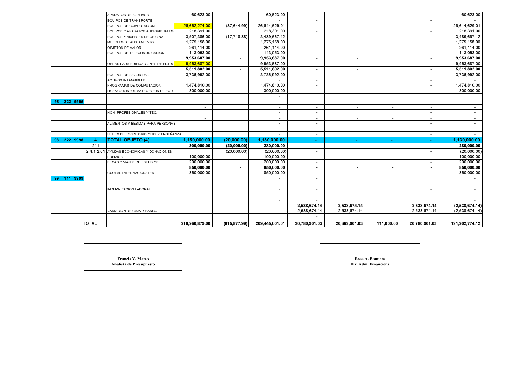|    |          |              | APARATOS DEPORTIVOS                    | 60,623.00      |                          | 60,623.00                | $\sim$                   |                |                | $\sim$                   | 60,623.00                |
|----|----------|--------------|----------------------------------------|----------------|--------------------------|--------------------------|--------------------------|----------------|----------------|--------------------------|--------------------------|
|    |          |              | EQUIPOS DE TRANSPORTE                  |                |                          |                          | $\overline{\phantom{0}}$ |                |                | $\overline{\phantom{a}}$ |                          |
|    |          |              | EQUIPOS DE COMPUTACION                 | 26,652,274.00  | (37, 644.99)             | 26,614,629.01            |                          |                |                |                          | 26,614,629.01            |
|    |          |              | EQUIPOS Y APARATOS AUDIOVISUALES       | 218,391.00     |                          | 218,391.00               | $\overline{\phantom{a}}$ |                |                |                          | 218,391.00               |
|    |          |              | EQUIPOS Y MUEBLES DE OFICINA           | 3,507,386.00   | (17, 718.88)             | 3,489,667.12             | $\sim$                   |                |                | $\sim$                   | 3,489,667.12             |
|    |          |              | MUEBLES DE ALOJAMIENTO                 | 1,275,158.00   |                          | 1,275,158.00             |                          |                |                |                          | 1,275,158.00             |
|    |          |              | OBJETOS DE VALOR                       | 261,114.00     |                          | 261,114.00               | $\sim$                   |                |                | $\sim$                   | 261,114.00               |
|    |          |              | EQUIPOS DE TELECOMUNICACION            | 113,053.00     |                          | 113,053.00               | $\overline{\phantom{a}}$ |                |                | $\overline{\phantom{a}}$ | 113,053.00               |
|    |          |              |                                        | 9,953,687.00   |                          | 9,953,687.00             | $\sim$                   | $\sim$         |                | $\sim$                   | 9,953,687.00             |
|    |          |              | OBRAS PARA EDIFICACIONES DE ESTRI      | 9,953,687.00   |                          | 9,953,687.00             | $\overline{\phantom{0}}$ |                |                |                          | 9,953,687.00             |
|    |          |              |                                        | 5,511,802.00   |                          | 5,511,802.00             | $\overline{\phantom{0}}$ | $\blacksquare$ |                | $\blacksquare$           | 5,511,802.00             |
|    |          |              | <b>EQUIPOS DE SEGURIDAD</b>            | 3,736,992.00   |                          | 3,736,992.00             |                          |                |                |                          | 3,736,992.00             |
|    |          |              | <b>ACTIVOS INTANGIBLES</b>             |                |                          |                          | $\sim$                   |                |                | $\overline{\phantom{a}}$ |                          |
|    |          |              | PROGRAMAS DE COMPUTACION               | 1,474,810.00   |                          | 1,474,810.00             | $\sim$                   |                |                | $\sim$                   | 1,474,810.00             |
|    |          |              | LICENCIAS INFORMATICOS E INTELECT      | 300,000.00     |                          | 300,000.00               | $\sim$                   |                |                | $\overline{\phantom{a}}$ | 300,000.00               |
|    |          |              |                                        |                |                          |                          |                          |                |                |                          |                          |
| 95 | 222 9995 |              |                                        |                |                          |                          | $\sim$                   |                |                | $\sim$                   |                          |
|    |          |              |                                        | $\blacksquare$ |                          | $\overline{\phantom{a}}$ | $\sim$                   | $\blacksquare$ | $\blacksquare$ | $\sim$                   | ٠.                       |
|    |          |              | HON. PROFESIONALES Y TEC.              |                |                          | $\overline{\phantom{a}}$ | $\overline{\phantom{a}}$ |                |                | $\overline{\phantom{a}}$ | $\overline{\phantom{a}}$ |
|    |          |              |                                        | $\blacksquare$ |                          | $\blacksquare$           | $\blacksquare$           | $\blacksquare$ | $\blacksquare$ | $\overline{\phantom{a}}$ | $\sim$                   |
|    |          |              | ALIMENTOS Y BEBIDAS PARA PERSONAS      |                |                          | $\overline{\phantom{a}}$ | $\sim$                   |                |                | $\sim$                   | $\sim$                   |
|    |          |              |                                        | $\blacksquare$ |                          | $\blacksquare$           | $\sim$                   | $\sim$         | $\sim$         | $\overline{\phantom{a}}$ | $\sim$                   |
|    |          |              | UTILES DE ESCRITORIO OFIC. Y ENSEÑANZA |                |                          | $\overline{\phantom{a}}$ | $\overline{\phantom{0}}$ |                |                | $\overline{\phantom{a}}$ | $\sim$                   |
| 98 | 222 9998 |              | <b>TOTAL OBJETO (4)</b>                | 1,150,000.00   | (20,000.00)              | 1,130,000.00             | $\sim$                   |                |                |                          | 1,130,000.00             |
|    |          | 241          |                                        | 300.000.00     | (20,000.00)              | 280.000.00               | $\sim$                   | $\sim$         | $\blacksquare$ | ۰.                       | 280,000.00               |
|    |          | 2.4.1.2.01   | AYUDAS ECONOMICAS Y DONACIONES         |                | (20,000.00)              | (20,000.00)              | $\overline{\phantom{a}}$ |                |                | $\overline{\phantom{a}}$ | (20,000.00)              |
|    |          |              | <b>PREMIOS</b>                         | 100.000.00     |                          | 100.000.00               |                          |                |                | $\overline{\phantom{a}}$ | 100,000.00               |
|    |          |              | BECAS Y VIAJES DE ESTUDIOS             | 200,000.00     |                          | 200,000.00               | $\overline{\phantom{a}}$ |                |                | $\sim$                   | 200,000.00               |
|    |          |              |                                        | 850,000.00     | $\blacksquare$           | 850,000.00               | $\sim$                   | $\blacksquare$ | $\blacksquare$ | $\blacksquare$           | 850,000.00               |
|    |          |              | <b>CUOTAS INTERNACIONALES</b>          | 850,000.00     |                          | 850,000.00               | $\overline{\phantom{a}}$ |                |                | $\overline{\phantom{a}}$ | 850,000.00               |
| 99 | 111 9999 |              |                                        |                |                          |                          | $\overline{\phantom{a}}$ |                |                |                          |                          |
|    |          |              |                                        | $\sim$         | $\overline{\phantom{a}}$ | $\blacksquare$           | $\sim$                   | $\sim$         | $\sim$         | $\sim$                   | $\sim$                   |
|    |          |              | <b>INDEMNIZACION LABORAL</b>           |                |                          | $\overline{\phantom{a}}$ | $\overline{\phantom{a}}$ |                |                | $\overline{\phantom{a}}$ | $\sim$                   |
|    |          |              |                                        |                | $\overline{\phantom{a}}$ | $\blacksquare$           | $\sim$                   |                |                | $\sim$                   | $\sim$                   |
|    |          |              |                                        |                |                          | $\overline{\phantom{a}}$ |                          |                |                |                          |                          |
|    |          |              |                                        |                | ۰                        | $\overline{\phantom{a}}$ | 2,538,674.14             | 2,538,674.14   |                | 2,538,674.14             | (2,538,674.14)           |
|    |          |              | VARIACION DE CAJA Y BANCO              |                |                          | $\overline{\phantom{a}}$ | 2,538,674.14             | 2,538,674.14   |                | 2,538,674.14             | (2,538,674.14)           |
|    |          |              |                                        |                |                          |                          |                          |                |                |                          |                          |
|    |          | <b>TOTAL</b> |                                        | 210,260,879.00 | (815, 877.99)            | 209,445,001.01           | 20,780,901.03            | 20,669,901.03  | 111,000.00     | 20,780,901.03            | 191,202,774.12           |